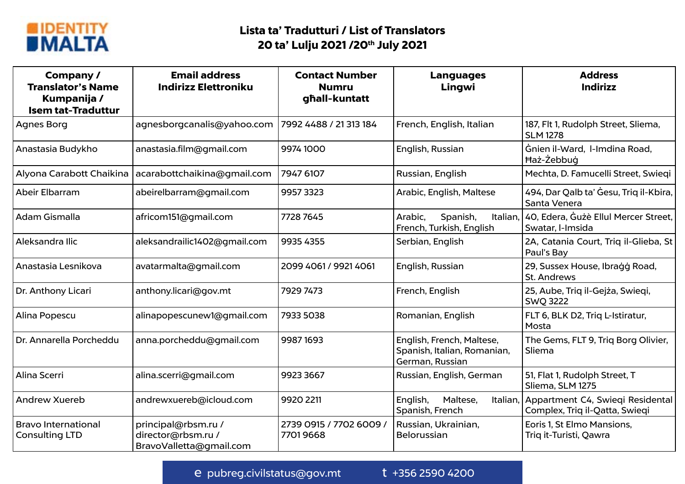

| Company /<br><b>Translator's Name</b><br>Kumpanija /<br><b>Isem tat-Traduttur</b> | <b>Email address</b><br><b>Indirizz Elettroniku</b>                  | <b>Contact Number</b><br><b>Numru</b><br>ghall-kuntatt | <b>Languages</b><br>Lingwi                                                  | <b>Address</b><br><b>Indirizz</b>                                           |  |
|-----------------------------------------------------------------------------------|----------------------------------------------------------------------|--------------------------------------------------------|-----------------------------------------------------------------------------|-----------------------------------------------------------------------------|--|
| <b>Agnes Borg</b>                                                                 | agnesborgcanalis@yahoo.com                                           | 7992 4488 / 21 313 184                                 | French, English, Italian                                                    | 187, Flt 1, Rudolph Street, Sliema,<br><b>SLM 1278</b>                      |  |
| Anastasia Budykho                                                                 | anastasia.film@gmail.com                                             | 9974 1000                                              | English, Russian                                                            | Gnien il-Ward, I-Imdina Road,<br>Haż-Żebbug                                 |  |
| Alyona Carabott Chaikina                                                          | acarabottchaikina@gmail.com                                          | 7947 6107                                              | Russian, English                                                            | Mechta, D. Famucelli Street, Swieqi                                         |  |
| Abeir Elbarram                                                                    | abeirelbarram@gmail.com                                              | 9957 3323                                              | Arabic, English, Maltese                                                    | 494, Dar Qalb ta' Gesu, Triq il-Kbira,<br>Santa Venera                      |  |
| Adam Gismalla                                                                     | africom151@gmail.com                                                 | 7728 7645                                              | Arabic,<br>Spanish,<br>Italian,<br>French, Turkish, English                 | 40, Edera, Guzè Ellul Mercer Street,<br>Swatar, I-Imsida                    |  |
| Aleksandra Ilic                                                                   | aleksandrailic1402@gmail.com                                         | 9935 4355                                              | Serbian, English                                                            | 2A, Catania Court, Triq il-Glieba, St<br>Paul's Bay                         |  |
| Anastasia Lesnikova                                                               | avatarmalta@gmail.com                                                | 2099 4061 / 9921 4061                                  | English, Russian                                                            | 29, Sussex House, Ibragg Road,<br><b>St. Andrews</b>                        |  |
| Dr. Anthony Licari                                                                | anthony.licari@gov.mt                                                | 7929 7473                                              | French, English                                                             | 25, Aube, Triq il-Gejża, Swieqi,<br><b>SWQ 3222</b>                         |  |
| Alina Popescu                                                                     | alinapopescunew1@gmail.com                                           | 7933 5038                                              | Romanian, English                                                           | FLT 6, BLK D2, Triq L-Istiratur,<br>Mosta                                   |  |
| Dr. Annarella Porcheddu                                                           | anna.porcheddu@gmail.com                                             | 9987 1693                                              | English, French, Maltese,<br>Spanish, Italian, Romanian,<br>German, Russian | The Gems, FLT 9, Triq Borg Olivier,<br>Sliema                               |  |
| Alina Scerri                                                                      | alina.scerri@gmail.com                                               | 9923 3667                                              | Russian, English, German                                                    | 51, Flat 1, Rudolph Street, T<br>Sliema, SLM 1275                           |  |
| <b>Andrew Xuereb</b>                                                              | andrewxuereb@icloud.com                                              | 9920 2211                                              | English,<br>Maltese,<br>Spanish, French                                     | Italian, Appartment C4, Swieqi Residental<br>Complex, Triq il-Qatta, Swieqi |  |
| <b>Bravo International</b><br><b>Consulting LTD</b>                               | principal@rbsm.ru /<br>director@rbsm.ru /<br>BravoValletta@gmail.com | 2739 0915 / 7702 6009 /<br>77019668                    | Russian, Ukrainian,<br><b>Belorussian</b>                                   | Eoris 1, St Elmo Mansions,<br>Triq it-Turisti, Qawra                        |  |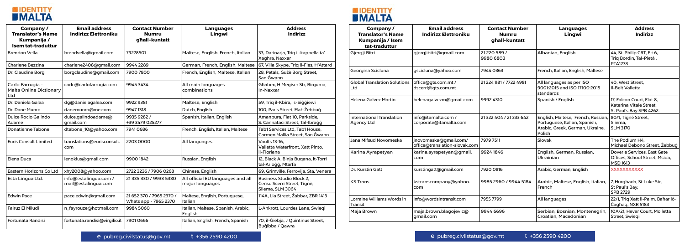



| Company /<br><b>Translator's Name</b><br>Kumpanija /<br><b>Isem tat-traduttur</b> | <b>Email address</b><br><b>Indirizz Elettroniku</b> | <b>Contact Number</b><br><b>Numru</b><br>ghall-kuntatt | <b>Languages</b><br>Lingwi                           | <b>Address</b><br><b>Indirizz</b>                                           | Company /<br><b>Translator's Name</b><br>Kumpanija / Isem<br>tat-traduttur | <b>Email address</b><br><b>Indirizz Elettroniku</b>    | <b>Contact Number</b><br><b>Numru</b><br>ghall-kuntatt | <b>Languages</b><br>Lingwi                                                                                       | <b>Address</b><br><b>Indirizz</b>                                               |
|-----------------------------------------------------------------------------------|-----------------------------------------------------|--------------------------------------------------------|------------------------------------------------------|-----------------------------------------------------------------------------|----------------------------------------------------------------------------|--------------------------------------------------------|--------------------------------------------------------|------------------------------------------------------------------------------------------------------------------|---------------------------------------------------------------------------------|
| <b>Brendon Vella</b>                                                              | brendvella@gmail.com                                | 79278501                                               | Maltese, English, French, Italian                    | 33, Darinarja, Trig il-kappella ta'<br>Xaghra, Naxxar                       | Gjergji Bitri                                                              | gjergjibitri@gmail.com                                 | 21 220 589 /<br>9980 6803                              | Albanian, English                                                                                                | 44, St. Philip CRT, Flt 6,<br>Triq Bordin, Tal-Pietà                            |
| Charlene Bezzina                                                                  | charlene2408@gmail.com                              | 9944 2289                                              | German, French, English, Maltese                     | 67, Villa Skype, Triq il-Fies, H'Attard                                     |                                                                            |                                                        |                                                        |                                                                                                                  | <b>PTA1233</b>                                                                  |
| Dr. Claudine Borg                                                                 | borgclaudine@gmail.com                              | 7900 7800                                              | French, English, Maltese, Italian                    | 28, Petals, Gużè Borg Street,<br>San Ġwann                                  | Georgina Scicluna                                                          | gscicluna@yahoo.com                                    | 7944 0363                                              | French, Italian, English, Maltese                                                                                |                                                                                 |
| Carlo Farrugia -<br><b>Malta Online Dictionary</b><br>∟td                         | carlo@carlofarrugia.com                             | 9945 3434                                              | All main languages<br>combinations                   | Ghabex, H Megiser Str, Birguma,<br>In-Naxxar                                | <b>Global Translation Solutions</b><br>Ltd                                 | office@gts.com.mt /<br>dscerri@gts.com.mt              | 21 224 981 / 7722 4981                                 | All languages as per ISO<br>9001:2015 and ISO 17100:2015<br>standards                                            | 40, West Street,<br>Il-Belt Valletta                                            |
| Dr. Daniela Galea                                                                 | dg@danielagalea.com                                 | 9922 9381                                              | Maltese, English                                     | 59, Triq il-Kbira, is-Siggiewi                                              | <b>Helena Galvez Martin</b>                                                | helenagalvezm@gmail.com                                | 9992 4310                                              | Spanish / English                                                                                                | 17, Falcon Court, Flat 8,<br>Katerina Vitale Street.<br>St Paul's Bay SPB 4262. |
| Dr. Dane Munro                                                                    | danemunro@me.com                                    | 9947 1318                                              | Dutch, English                                       | 100, Paris Street, Haż-Żebbug                                               |                                                                            |                                                        |                                                        |                                                                                                                  |                                                                                 |
| <b>Dulce Rocio Galindo</b><br>Adame                                               | dulce.galindoadame@<br>qmail.com                    | 9935 9282 /<br>+39 3479 025277                         | Spanish, Italian, English                            | Amanpura, Flat 10, Parkside,<br>S. Cannataci Street, Tal-Ibragg             | <b>International Translation</b><br><b>Agency Ltd</b>                      | info@itamalta.com /<br>corporate@itamalta.com          | 21 322 404 / 21 333 642                                | English, Maltese, French, Russian,<br>Portuguese, Italian, Spanish,<br>Arabic, Greek, German, Ukraine,<br>Polish | 80/1, Tignè Street,<br>Sliema,                                                  |
| <b>Donatienne Tabone</b>                                                          | dtabone_10@yahoo.com                                | 79410686                                               | French, English, Italian, Maltese                    | Tab1 Services Ltd, Tab1 House,<br>Carmen Mallia Street, San Gwann           |                                                                            |                                                        |                                                        |                                                                                                                  | <b>SLM 3170</b>                                                                 |
| <b>Euris Consult Limited</b>                                                      | translations@eurisconsult.<br>com                   | 22030000                                               | All languages                                        | <b>Vaults 13-16,</b><br>Valletta Waterfront, Xatt Pinto,                    | Jana Mifsud Novomeska                                                      | jnovomeska@gmail.com/<br>office@translation-slovak.com | 7979 7511                                              | Slovak                                                                                                           | The Podium H4.<br>Michael Debono Street, Żebbu                                  |
|                                                                                   |                                                     |                                                        |                                                      | il-Floriana                                                                 | Karina Ayrapetyan                                                          | karina.ayrapetyan@gmail.<br>com                        | 9924 1846                                              | English, German, Russian,<br>Ukrainian                                                                           | <b>Doverie Services, East Gate</b>                                              |
| Elena Duca                                                                        | lenokius@gmail.com                                  | 9900 1842                                              | Russian, English                                     | 12, Black A, Binja Buqana, it-Torri<br>tal-Arloģģ, Mtarfa                   |                                                                            |                                                        |                                                        |                                                                                                                  | Offices, School Street, Msida,<br><b>MSD 1613</b>                               |
| Eastern Horizons Co Ltd                                                           | xhy2008@yahoo.com                                   | 2722 3236 / 7906 0268                                  | Chinese, English                                     | 69, Grimville, Ferrovija, Sta. Venera                                       | Dr. Kurstin Gatt                                                           | kurstingatt@gmail.com                                  | 7920 0816                                              | Arabic, German, English                                                                                          | <b>XXXXXXXXXXX</b>                                                              |
| Esta Lingua Ltd.                                                                  | info@estalingua.com /<br>mail@estalingua.com        | 21 335 330 / 9933 5330                                 | All official EU languages and all<br>major languages | Business Studio Block 2.<br>Censu Scerri Street, Tignè,<br>Sliema, SLM 3064 | <b>KS Trans</b>                                                            | kstranscompany@yahoo.<br>com                           | 9985 2960 / 9944 5184                                  | Arabic, Maltese, English, Italian<br>French                                                                      | 7, Hurghada, St Luke Str,<br>St Paul's Bay,<br>SPB 2729                         |
| <b>Edwin Pace</b>                                                                 | pace.edwin@gmail.com                                | 21 652 370 / 7965 2370 /<br>Whats app - 7965 2370      | Maltese, English, Portuguese,<br>Italian             | 114A, Lia Street, Zabbar, ZBR 1413                                          | Lorraine Williams Words in<br>Transit                                      | info@wordsintransit.com                                | 7955 7799                                              | All languages                                                                                                    | 22/1, Triq Xatt il-Palm, Bahar ic-<br>Cagħag, NXR 5183                          |
| Fairuz El Miludi                                                                  | n_fayrouze@hotmail.com                              | 9984 5060                                              | Italian, Maltese, Spanish, Arabic,<br>English        | L-Ankrott, Lourdes Lane, Swieqi                                             | Maja Brown                                                                 | maja.brown.blagojevic@<br>gmail.com                    | 9944 6696                                              | Serbian, Bosnian, Montenegrir<br>Croatian, Macedonian                                                            | 10A/21, Hever Court, Molletta<br>Street, Swiegi                                 |
| Fortunata Randisi                                                                 | fortunata.randisi@virgilio.it                       | 79010666                                               | Italian, English, French, Spanish                    | 70, il-Giebja, J Quintinus Street,<br>Bugibba / Qawra                       |                                                                            |                                                        |                                                        |                                                                                                                  |                                                                                 |

## e pubreg.civilstatus@gov.mt t +356 2590 4200

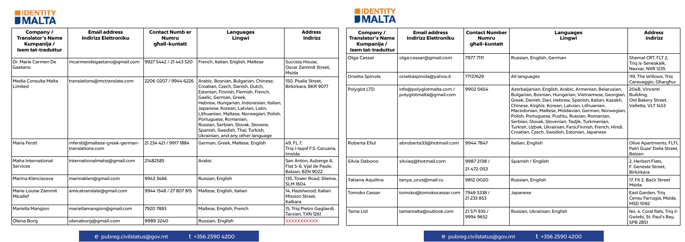



| <b>Company/</b><br><b>Translator's Name</b><br>Kumpanija /<br><b>Isem tat-traduttur</b> | <b>Email address</b><br><b>Indirizz Elettroniku</b> | <b>Contact Numb er</b><br><b>Numru</b><br>ghall-kuntatt | <b>Languages</b><br>Lingwi                                                                                                                                                                                                                                                                                                                                        | <b>Address</b><br><b>Indirizz</b>                                     | Company /<br><b>Translator's Name</b><br>Kumpanija /<br><b>Isem tat-traduttur</b> | <b>Email address</b><br><b>Indirizz Elettroniku</b> | <b>Contact Number</b><br><b>Numru</b><br>ghall-kuntatt | <b>Languages</b><br>Lingwi                                                                                                                                                                                                                                                                                                                                                                                                                                                                                    | <b>Address</b><br><b>Indirizz</b>                              |
|-----------------------------------------------------------------------------------------|-----------------------------------------------------|---------------------------------------------------------|-------------------------------------------------------------------------------------------------------------------------------------------------------------------------------------------------------------------------------------------------------------------------------------------------------------------------------------------------------------------|-----------------------------------------------------------------------|-----------------------------------------------------------------------------------|-----------------------------------------------------|--------------------------------------------------------|---------------------------------------------------------------------------------------------------------------------------------------------------------------------------------------------------------------------------------------------------------------------------------------------------------------------------------------------------------------------------------------------------------------------------------------------------------------------------------------------------------------|----------------------------------------------------------------|
| Dr. Marie Carmen De<br>Gaetano                                                          | mcarmendegaetano@gmail.com                          | 9927 5442 / 21 443 520                                  | French, Italian, English, Maltese                                                                                                                                                                                                                                                                                                                                 | Success House,<br><b>Oscar Zammit Street,</b>                         | Olga Cassar                                                                       | olga.cassar@gmail.com                               | 7977 7111                                              | Russian, English, German                                                                                                                                                                                                                                                                                                                                                                                                                                                                                      | Shamal CRT, FLT 2,<br>Trig is-Seneskalk,<br>Naxxar, NXR 1235   |
| Media Consulta Malta                                                                    | translations@mctranslate.com                        | 2206 0207 / 9944 6226                                   | Arabic, Bosnian, Bulgarian, Chinese,                                                                                                                                                                                                                                                                                                                              | Msida<br>150, Psaila Street,                                          | Orsetta Spinola                                                                   | orsettaspinola@yahoo.it                             | 77137629                                               | All languages                                                                                                                                                                                                                                                                                                                                                                                                                                                                                                 | 119, The Willows, Triq<br>Caravaggio, Gharghur                 |
| Limited                                                                                 |                                                     |                                                         | Croatian, Czech, Danish, Dutch,<br>Estonian, Finnish, Flemish, French,<br>Gaelic, German, Greek,<br>Hebrew, Hungarian, Indonesian, Italian,<br>Japanese, Korean, Latvian, Latin<br>Lithuanian, Maltese, Norwegian, Polish<br>Portuguese, Romanian,<br>Russian, Serbian, Slovak, Slovene,<br>Spanish, Swedish, Thai, Turkish,<br>Ukrainian, and any other language | Birkirkara, BKR 9077                                                  | Polyglot LTD                                                                      | info@polyglotmalta.com /<br>polyglotmalta@gmail.com | 9902 0654                                              | Azerbaijanian, English, Arabic, Armenian, Belarusian,<br>Bulgarian, Bosnian, Hungarian, Vietnamese, Georgian,   Building,<br>Greek, Danish, Dari, Hebrew, Spanish, Italian, Kazakh,<br>Chinese, Kirghiz, Korean, Latvian, Lithuanian,<br>Macedonian, Maltese, Moldavian, German, Norwegian,<br>Polish, Portuguese, Pushtu, Russian, Romanian,<br>Serbian, Slovak, Slovenian, Tadjik, Turkmenian,<br>Turkish, Uzbek, Ukrainian, Farsi, Finnish, French, Hindi,<br>Croatian, Czech, Swedish, Estonian, Japanese | 204B, Vincenti<br>Old Bakery Street,<br>Valletta, VLT 1453     |
| <b>Maria Ferstl</b>                                                                     | mferstl@maltese-greek-german-<br>translations.com   | 21 234 421 / 9917 1884                                  | German, Greek, Maltese, English                                                                                                                                                                                                                                                                                                                                   | 49, FL 7,<br>Triq I-Isqof F.S. Caruana,<br>Imsida                     | Roberta Ellul                                                                     | abroberta33@hotmail.com                             | 99447847                                               | Italian, English                                                                                                                                                                                                                                                                                                                                                                                                                                                                                              | Olive Apartments, FLT1,<br>Patri Guze' Delia Street,<br>Balzan |
| Maha International<br>Services                                                          | internationalmaha@gmail.com                         | 21482585                                                | Arabic                                                                                                                                                                                                                                                                                                                                                            | San Anton, Auberge A,<br>Flat 5-6, Vjal de Paule,<br>Balzan, BZN 9022 | Silvia Debono                                                                     | silviaq@hotmail.com                                 | 9987 2138 /<br>21 472 053                              | Spanish / English                                                                                                                                                                                                                                                                                                                                                                                                                                                                                             | 2. Herbert Flats.<br>F. Geneste Street,<br><b>Birkirkara</b>   |
| Marina Klencisceva                                                                      | marinaklen@gmail.com                                | 9943 3466                                               | Russian, English                                                                                                                                                                                                                                                                                                                                                  | 135, Tower Road, Sliema<br><b>SLM 1604</b>                            | Tatiana Aquilina                                                                  | tanya_urus@mail.ru                                  | 9812 0020                                              | Russian, English                                                                                                                                                                                                                                                                                                                                                                                                                                                                                              | 17, Flt 2, Bacir Street<br>Msida                               |
| Marie Louise Zammit<br>Micallef                                                         | amicatranslate@gmail.com                            | 9944 1548 / 27 807 815                                  | Maltese, English, Italian                                                                                                                                                                                                                                                                                                                                         | 14, Hazelwood, Italian<br>Mission Street,<br>Kalkara                  | <b>Tomoko Cassar</b>                                                              | tomoko@tomokocassar.com                             | 7949 5338 /<br>21 233 853                              | Japanese                                                                                                                                                                                                                                                                                                                                                                                                                                                                                                      | East Garden, Triq<br>Censu Farrugia, Msida,<br><b>MSD 1092</b> |
| Mariella Mangion                                                                        | mariellamangion@gmail.com                           | 7920 7883                                               | Maltese, English, French                                                                                                                                                                                                                                                                                                                                          | 15, Triq Pietro Gagliardi,<br>Tarxien, TXN 1261                       | <b>Tama Ltd</b>                                                                   | tamamalta@outlook.com                               | 21 571 935 /<br>9994 9652                              | Russian, Ukrainian, English                                                                                                                                                                                                                                                                                                                                                                                                                                                                                   | No. 4, Coral flats, Triq il-<br>Gwiebi, St. Paul's Bay,        |
| Olena Borg                                                                              | olenaborg@gmail.com                                 | 99893240                                                | Russian, English                                                                                                                                                                                                                                                                                                                                                  | XXXXXXXXXX                                                            |                                                                                   |                                                     |                                                        |                                                                                                                                                                                                                                                                                                                                                                                                                                                                                                               | <b>SPB 2851</b>                                                |

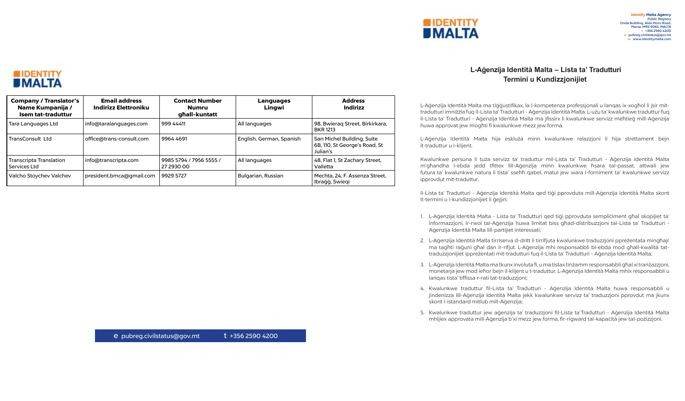## **L-Aġenzija Identità Malta – Lista ta' Tradutturi Termini u Kundizzjonijiet**

L-Aġenzija Identità Malta ma tiġġustifikax, la l-kompetenza professjonali u lanqas ix-xogħol li jsir mittradutturi imniżżla fuq il-Lista ta' Tradutturi - Aġenzija Identità Malta. L-użu ta' kwalunkwe traduttur fuq il-Lista ta' Tradutturi - Aġenzija Identità Malta ma jfissirx li kwalunkwe servizz meħtieġ mill-Aġenzija huwa approvat jew mogħti fi kwalunkwe mezz jew forma.

L-Aġenzija Identità Malta hija eskluża minn kwalunkwe relazzjoni li hija strettament bejn it-traduttur u l-klijent.

Kwalunkwe persuna li tuża servizz ta' traduttur mil-Lista ta' Tradutturi - Aġenzija Identità Malta m'għandha l-ebda jedd tfittex lill-Aġenzija minn kwalunkwe ħsara tal-passat, attwali jew futura ta' kwalunkwe natura li tista' sseħħ qabel, matul jew wara l-forniment ta' kwalunkwe servizz ipprovdut mit-traduttur.

4. Kwalunkwe traduttur fil-Lista ta' Tradutturi - Aġenzija Identità Malta huwa responsabbli u jindenizza lill-Aġenzija Identità Malta jekk kwalunkwe servizz ta' traduzzjoni pprovdut ma jkunx skont l-istandard mitlub mill-Aġenzija;

Il-Lista ta' Tradutturi - Aġenzija Identità Malta qed tiġi pprovduta mill-Aġenzija Identità Malta skont it-termini u l-kundizzjonijiet li ġejjin;

1. L-Aġenzija Identità Malta - Lista ta' Tradutturi qed tiġi pprovduta sempliċiment għal skopijiet ta' informazzjoni. Ir-rwol tal-Aġenzija huwa limitat biss għad-distribuzzjoni tal-Lista ta' Tradutturi - Aġenzija Identità Malta lill-partijiet interessati;

2. L-Aġenzija Identità Malta tirriserva d-dritt li tirrifjuta kwalunkwe traduzzjoni ppreżentata mingħajr ma tagħti raġuni għal dan ir-rifjut. L-Aġenzija mhi responsabbli bl-ebda mod għall-kwalità tattraduzzjonijiet ippreżentati mit-tradutturi fuq il-Lista ta' Tradutturi - Aġenzija Identità Malta;

3. L-Aġenzija Identità Malta ma tkunx involuta fi, u ma tistax tinżamm responsabbli għal xi tranżazzjoni, monetarja jew mod ieħor bejn il-klijent u t-traduttur. L-Aġenzija Identità Malta mhix responsabbli u lanqas tista' tiffissa r-rati tat-traduzzjoni;

5. Kwalunkwe traduttur jew aġenzija ta' traduzzjoni fil-Lista ta'Tradutturi - Aġenzija Identità Malta mhijiex approvata mill-Aġenzija b'xi mezz jew forma, fir-rigward tal-kapaċità jew tal-pożizzjoni.





| <b>Company / Translator's</b><br>Name Kumpanija /<br><b>Isem tat-traduttur</b> | <b>Email address</b><br><b>Indirizz Elettroniku</b> | <b>Contact Number</b><br>Numru<br>ghall-kuntatt | <b>Languages</b><br>Lingwi | <b>Address</b><br><b>Indirizz</b>                                       |
|--------------------------------------------------------------------------------|-----------------------------------------------------|-------------------------------------------------|----------------------------|-------------------------------------------------------------------------|
| Tara Languages Ltd                                                             | info@taralanguages.com                              | 999 44411                                       | All languages              | 98, Bwierag Street, Birkirkara,<br><b>BKR 1213</b>                      |
| <b>TransConsult Ltd</b>                                                        | office@trans-consult.com                            | 9964 4691                                       | English, German, Spanish   | San Michel Building, Suite<br>6B, 110, St George's Road, St<br>Julian's |
| Transcripta Translation<br>Services Ltd                                        | info@transcripta.com                                | 9985 5794 / 7956 5555 /<br>27 2930 00           | All languages              | 48, Flat 1, St Zachary Street,<br>Valletta                              |
| Valcho Stoychev Valchev                                                        | president.bmca@gmail.com                            | 9929 5727                                       | Bulgarian, Russian         | Mechta, 24, F. Assenza Street,<br>Ibragg, Swiegi                        |

e pubreg.civilstatus@gov.mt t +356 2590 4200